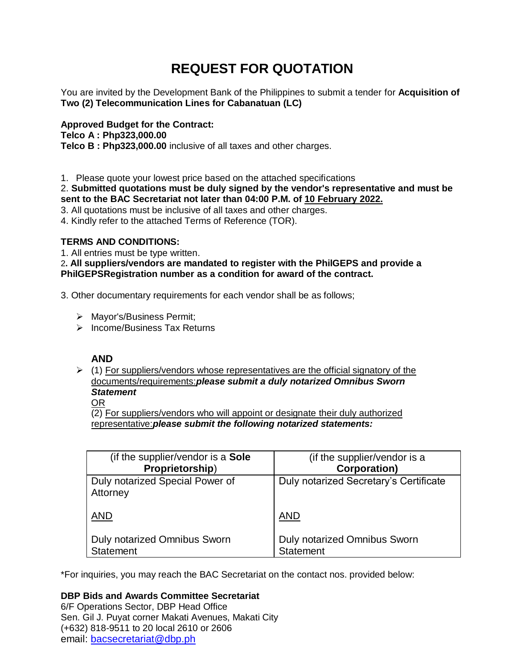# **REQUEST FOR QUOTATION**

You are invited by the Development Bank of the Philippines to submit a tender for **Acquisition of Two (2) Telecommunication Lines for Cabanatuan (LC)**

**Approved Budget for the Contract: Telco A : Php323,000.00 Telco B : Php323,000.00** inclusive of all taxes and other charges.

1. Please quote your lowest price based on the attached specifications

# 2. **Submitted quotations must be duly signed by the vendor's representative and must be sent to the BAC Secretariat not later than 04:00 P.M. of 10 February 2022.**

- 3. All quotations must be inclusive of all taxes and other charges.
- 4. Kindly refer to the attached Terms of Reference (TOR).

# **TERMS AND CONDITIONS:**

1. All entries must be type written.

2**. All suppliers/vendors are mandated to register with the PhilGEPS and provide a PhilGEPSRegistration number as a condition for award of the contract.**

3. Other documentary requirements for each vendor shall be as follows;

- > Mayor's/Business Permit;
- $\triangleright$  Income/Business Tax Returns

# **AND**

 $\geq$  (1) For suppliers/vendors whose representatives are the official signatory of the documents/requirements:*please submit a duly notarized Omnibus Sworn Statement*

OR

(2) For suppliers/vendors who will appoint or designate their duly authorized representative:*please submit the following notarized statements:*

| (if the supplier/vendor is a Sole           | (if the supplier/vendor is a           |
|---------------------------------------------|----------------------------------------|
| Proprietorship)                             | <b>Corporation)</b>                    |
| Duly notarized Special Power of<br>Attorney | Duly notarized Secretary's Certificate |
| <b>AND</b>                                  | <b>AND</b>                             |
| <b>Duly notarized Omnibus Sworn</b>         | <b>Duly notarized Omnibus Sworn</b>    |
| <b>Statement</b>                            | <b>Statement</b>                       |

\*For inquiries, you may reach the BAC Secretariat on the contact nos. provided below:

**DBP Bids and Awards Committee Secretariat** 

6/F Operations Sector, DBP Head Office Sen. Gil J. Puyat corner Makati Avenues, Makati City (+632) 818-9511 to 20 local 2610 or 2606 email: [bacsecretariat@dbp.ph](mailto:bacsecretariat@dbp.ph)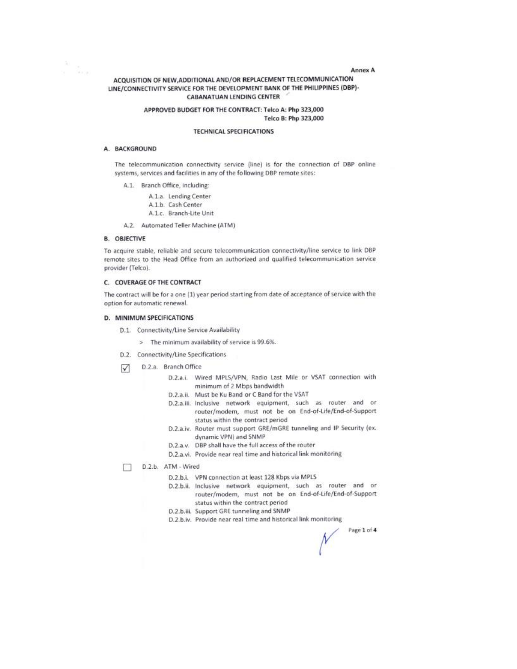#### **Annex A**

## ACQUISITION OF NEW, ADDITIONAL AND/OR REPLACEMENT TELECOMMUNICATION LINE/CONNECTIVITY SERVICE FOR THE DEVELOPMENT BANK OF THE PHILIPPINES (DBP)-**CABANATUAN LENDING CENTER**

#### APPROVED BUDGET FOR THE CONTRACT: Telco A: Php 323,000 Telco B: Php 323,000

#### **TECHNICAL SPECIFICATIONS**

# A. BACKGROUND

 $\frac{\hbar}{\hbar}$  ,  $\frac{\hbar}{\hbar}$ 

The telecommunication connectivity service (line) is for the connection of DBP online systems, services and facilities in any of the following DBP remote sites:

A.1. Branch Office, including:

A.1.a. Lending Center A.1.b. Cash Center

- A.1.c. Branch-Lite Unit
- A.2. Automated Teller Machine (ATM)

#### **B. OBJECTIVE**

To acquire stable, reliable and secure telecommunication connectivity/line service to link DBP remote sites to the Head Office from an authorized and qualified telecommunication service provider (Telco).

#### C. COVERAGE OF THE CONTRACT

The contract will be for a one (1) year period starting from date of acceptance of service with the option for automatic renewal.

# D. MINIMUM SPECIFICATIONS

- D.1. Connectivity/Line Service Availability
	- > The minimum availability of service is 99.6%.
- D.2. Connectivity/Line Specifications
- D.2.a. Branch Office  $\sqrt{ }$ 
	- D.2.a.i. Wired MPLS/VPN, Radio Last Mile or VSAT connection with minimum of 2 Mbps bandwidth
	- D.2.a.ii. Must be Ku Band or C Band for the VSAT
	- D.2.a.iii. Inclusive network equipment, such as router and or router/modem, must not be on End-of-Life/End-of-Support status within the contract period
	- D.2.a.iv. Router must support GRE/mGRE tunneling and IP Security (ex. dynamic VPN) and SNMP
	- D.2.a.v. DBP shall have the full access of the router
	- D.2.a.vi. Provide near real time and historical link monitoring
- D.2.b. ATM Wired п
	- D.2.b.i. VPN connection at least 128 Kbps via MPL5
	- D.2.b.ii. Inclusive network equipment, such as router and or router/modem, must not be on End-of-Life/End-of-Support status within the contract period
	- D.2.b.iii. Support GRE tunneling and SNMP
	- D.2.b.iv. Provide near real time and historical link monitoring

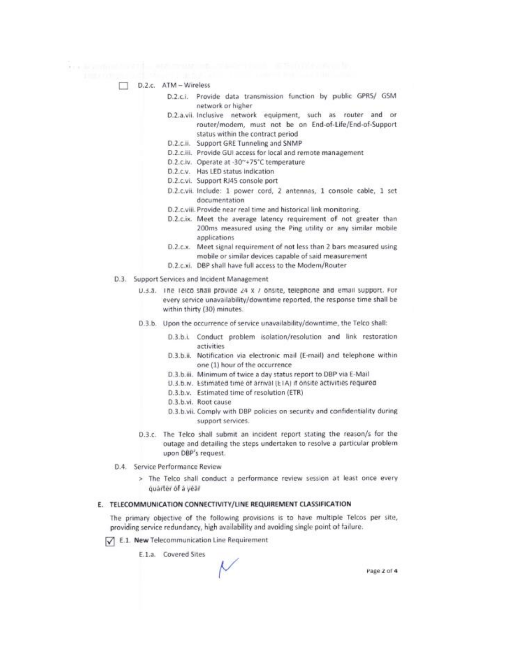- D.2.c. ATM Wireless
	- D.2.c.i. Provide data transmission function by public GPRS/ GSM network or higher
	- D.2.a.vii. Inclusive network equipment, such as router and or router/modem, must not be on End-of-Life/End-of-Support status within the contract period
	- D.2.c.ii. Support GRE Tunneling and SNMP
	- D.2.c.iii. Provide GUI access for local and remote management
	- D.2.c.iv. Operate at -30~+75°C temperature
	- D.2.c.v. Has LED status indication

. . Sympathy of the anternal second contribution of the AMA sales in

- D.2.c.vi. Support RJ45 console port
- D.2.c.vii. Include: 1 power cord, 2 antennas, 1 console cable, 1 set documentation
- D.2.c.viii. Provide near real time and historical link monitoring.
- D.2.c.ix. Meet the average latency requirement of not greater than 200ms measured using the Ping utility or any similar mobile applications
- D.2.c.x. Meet signal requirement of not less than 2 bars measured using mobile or similar devices capable of said measurement
- D.2.c.xi. DBP shall have full access to the Modem/Router
- D.3. Support Services and Incident Management
	- U.3.3. The Telco shall provide 24 x / onsite, telephone and email support. For every service unavailability/downtime reported, the response time shall be within thirty (30) minutes.
	- D.3.b. Upon the occurrence of service unavailability/downtime, the Telco shall:
		- D.3.b.i. Conduct problem isolation/resolution and link restoration activities
		- D.3.b.ii. Notification via electronic mail (E-mail) and telephone within one (1) hour of the occurrence
		- D.3.b.iii. Minimum of twice a day status report to DBP via E-Mail
		- D.3.b.w. Estimated time of arrival (ETA) if onsite activities required
		- D.3.b.v. Estimated time of resolution (ETR)
		- D.3.b.vi. Root cause
		- D.3.b.vii. Comply with DBP policies on security and confidentiality during support services.
	- D.3.c. The Telco shall submit an incident report stating the reason/s for the outage and detailing the steps undertaken to resolve a particular problem upon DBP's request.
- D.4. Service Performance Review
	- > The Telco shall conduct a performance review session at least once every quarter of a year

#### E. TELECOMMUNICATION CONNECTIVITY/LINE REQUIREMENT CLASSIFICATION

The primary objective of the following provisions is to have multiple Telcos per site, providing service redundancy, high availability and avoiding single point of failure.

E.1. New Telecommunication Line Requirement

E.1.a. Covered Sites

Page 2 of 4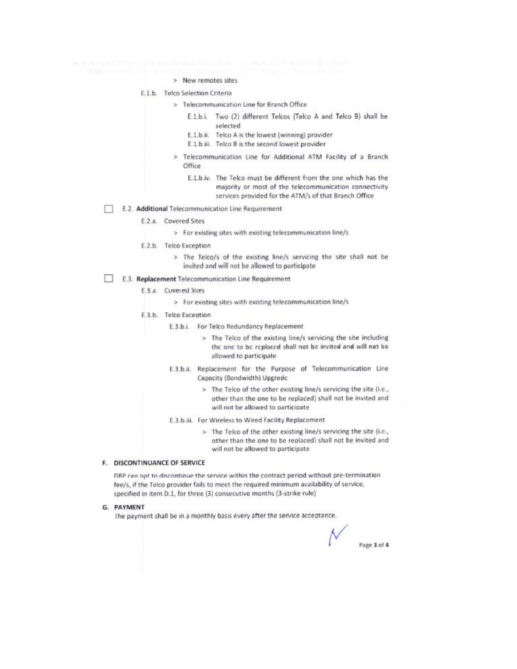- > New remotes sites
- E.1.b. Telco Selection Criteria
	- > Telecommunication Line for Branch Office
		- E.1.b.i. Two (2) different Telcos (Telco A and Telco B) shall be selected
		- E.1.b.ii. Telco A is the lowest (winning) provider
		- E.1.b.iii. Telco B is the second lowest provider
	- > Telecommunication Line for Additional ATM Facility of a Branch Office
		- E.1.b.iv. The Telco must be different from the one which has the majority or most of the telecommunication connectivity services provided for the ATM/s of that Branch Office
- E.2. Additional Telecommunication Line Requirement n
	- E.2.a. Covered Sites
		- > For existing sites with existing telecommunication line/s
	- E.2.b. Telco Exception
		- > The Telco/s of the existing line/s servicing the site shall not be invited and will not be allowed to participate

## E.3. Replacement Telecommunication Line Requirement

- E.3.a. Cuvered 3ites
	- > For existing sites with existing telecommunication line/s
- E.3.b. Telco Exception
	- E.3.b.i. For Telco Redundancy Replacement
		- > The Telco of the existing line/s servicing the site including the one to be replaced shall not be invited and will not be allowed to participate
	- E.3.b.ii. Replacement for the Purpose of Telecommunication Line Capacity (Dandwidth) Upgradc
		- > The Telco of the other existing line/s servicing the site (i.e., other than the one to be replaced) shall not be invited and will not be allowed to participate
	- E.3.b.iii. For Wireless to Wired Facility Replacement
		- > The Telco of the other existing line/s servicing the site (i.e., other than the one to be replaced) shall not be invited and will not be allowed to participate

#### F. DISCONTINUANCE OF SERVICE

DBP can opt to discontinue the service within the contract period without pre-termination fee/s, if the Telco provider fails to meet the required minimum availability of service, specified in item D.1, for three (3) consecutive months (3-strike rule)

#### G. PAYMENT

The payment shall be in a monthly basis every after the service acceptance.

Page 3 of 4